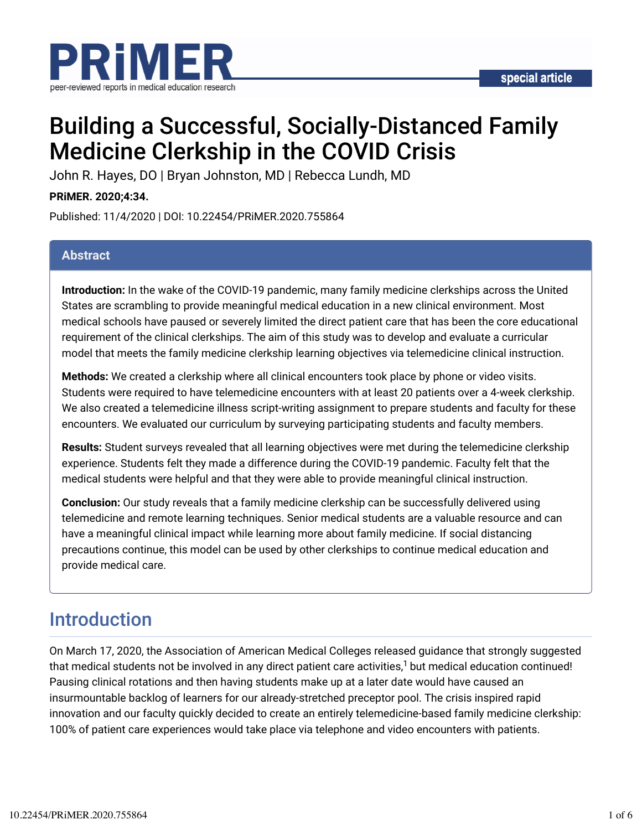

# Building a Successful, Socially-Distanced Family Medicine Clerkship in the COVID Crisis

John R. Hayes, DO | Bryan Johnston, MD | Rebecca Lundh, MD

#### **PRiMER. 2020;4:34.**

Published: 11/4/2020 | DOI: 10.22454/PRiMER.2020.755864

#### **Abstract**

**Introduction:** In the wake of the COVID-19 pandemic, many family medicine clerkships across the United States are scrambling to provide meaningful medical education in a new clinical environment. Most medical schools have paused or severely limited the direct patient care that has been the core educational requirement of the clinical clerkships. The aim of this study was to develop and evaluate a curricular model that meets the family medicine clerkship learning objectives via telemedicine clinical instruction.

**Methods:** We created a clerkship where all clinical encounters took place by phone or video visits. Students were required to have telemedicine encounters with at least 20 patients over a 4-week clerkship. We also created a telemedicine illness script-writing assignment to prepare students and faculty for these encounters. We evaluated our curriculum by surveying participating students and faculty members.

**Results:** Student surveys revealed that all learning objectives were met during the telemedicine clerkship experience. Students felt they made a difference during the COVID-19 pandemic. Faculty felt that the medical students were helpful and that they were able to provide meaningful clinical instruction.

**Conclusion:** Our study reveals that a family medicine clerkship can be successfully delivered using telemedicine and remote learning techniques. Senior medical students are a valuable resource and can have a meaningful clinical impact while learning more about family medicine. If social distancing precautions continue, this model can be used by other clerkships to continue medical education and provide medical care.

## Introduction

On March 17, 2020, the Association of American Medical Colleges released guidance that strongly suggested that medical students not be involved in any direct patient care activities, $^1$  but medical education continued! Pausing clinical rotations and then having students make up at a later date would have caused an insurmountable backlog of learners for our already-stretched preceptor pool. The crisis inspired rapid innovation and our faculty quickly decided to create an entirely telemedicine-based family medicine clerkship: 100% of patient care experiences would take place via telephone and video encounters with patients.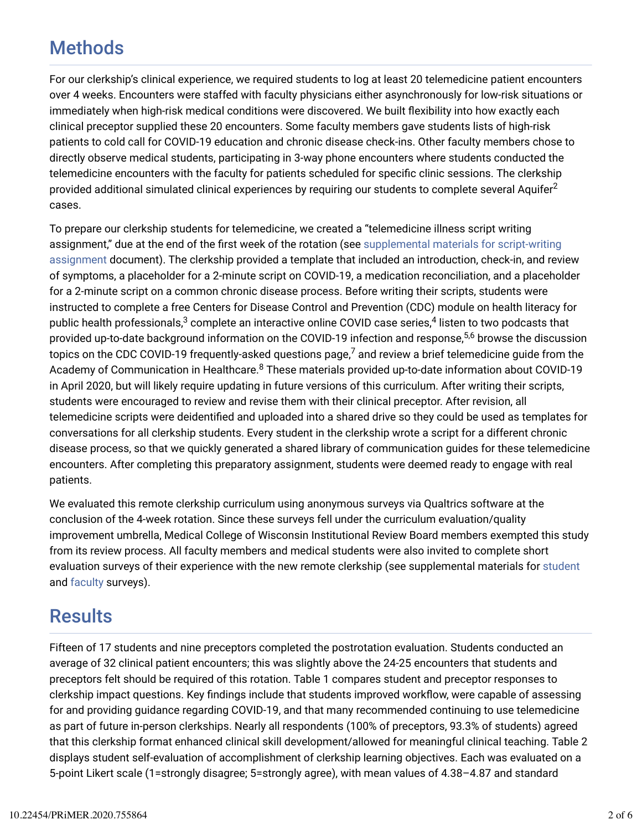## Methods

For our clerkship's clinical experience, we required students to log at least 20 telemedicine patient encounters over 4 weeks. Encounters were staffed with faculty physicians either asynchronously for low-risk situations or immediately when high-risk medical conditions were discovered. We built flexibility into how exactly each clinical preceptor supplied these 20 encounters. Some faculty members gave students lists of high-risk patients to cold call for COVID-19 education and chronic disease check-ins. Other faculty members chose to directly observe medical students, participating in 3-way phone encounters where students conducted the telemedicine encounters with the faculty for patients scheduled for specific clinic sessions. The clerkship provided additional simulated clinical experiences by requiring our students to complete several Aquifer $^2$ cases.

To prepare our clerkship students for telemedicine, we created a "telemedicine illness script writing assignment," due at the end of the first week of the rotation (see supplemental materials for script-writing assignment document). The clerkship provided a template that included an introduction, check-in, and review of symptoms, a placeholder for a 2-minute script on COVID-19, a medication reconciliation, and a placeholder for a 2-minute script on a common chronic disease process. Before writing their scripts, students were instructed to complete a free Centers for Disease Control and Prevention (CDC) module on health literacy for public health professionals, $^3$  complete an interactive online COVID case series, $^4$  listen to two podcasts that provided up-to-date background information on the COVID-19 infection and response,<sup>5,6</sup> browse the discussion topics on the CDC COVID-19 frequently-asked questions page, $^7$  and review a brief telemedicine guide from the Academy of Communication in Healthcare. $^8$  These materials provided up-to-date information about COVID-19 in April 2020, but will likely require updating in future versions of this curriculum. After writing their scripts, students were encouraged to review and revise them with their clinical preceptor. After revision, all telemedicine scripts were deidentified and uploaded into a shared drive so they could be used as templates for conversations for all clerkship students. Every student in the clerkship wrote a script for a different chronic disease process, so that we quickly generated a shared library of communication guides for these telemedicine encounters. After completing this preparatory assignment, students were deemed ready to engage with real patients.

We evaluated this remote clerkship curriculum using anonymous surveys via Qualtrics software at the conclusion of the 4-week rotation. Since these surveys fell under the curriculum evaluation/quality improvement umbrella, Medical College of Wisconsin Institutional Review Board members exempted this study from its review process. All faculty members and medical students were also invited to complete short evaluation surveys of their experience with the new remote clerkship (see supplemental materials for student and faculty surveys).

### **Results**

Fifteen of 17 students and nine preceptors completed the postrotation evaluation. Students conducted an average of 32 clinical patient encounters; this was slightly above the 24-25 encounters that students and preceptors felt should be required of this rotation. Table 1 compares student and preceptor responses to clerkship impact questions. Key findings include that students improved workflow, were capable of assessing for and providing guidance regarding COVID-19, and that many recommended continuing to use telemedicine as part of future in-person clerkships. Nearly all respondents (100% of preceptors, 93.3% of students) agreed that this clerkship format enhanced clinical skill development/allowed for meaningful clinical teaching. Table 2 displays student self-evaluation of accomplishment of clerkship learning objectives. Each was evaluated on a 5-point Likert scale (1=strongly disagree; 5=strongly agree), with mean values of 4.38–4.87 and standard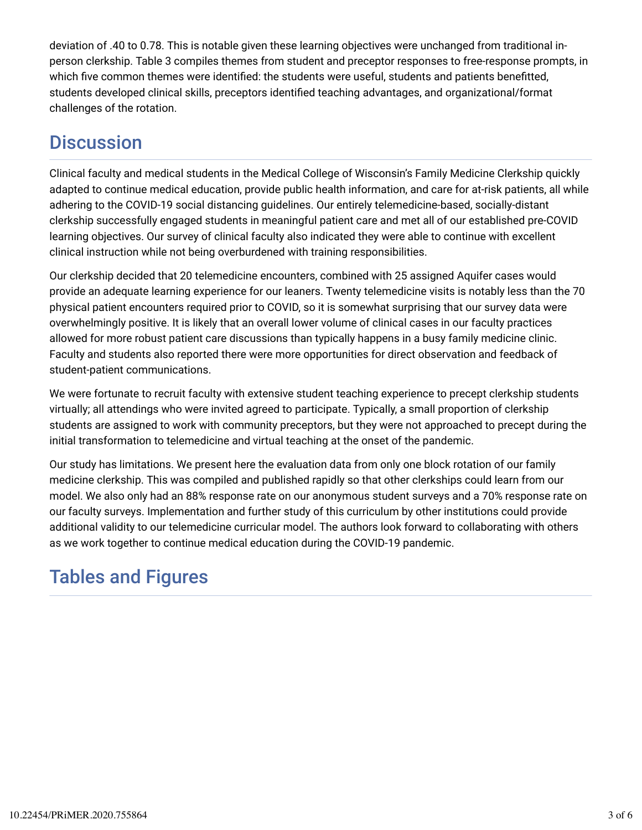deviation of .40 to 0.78. This is notable given these learning objectives were unchanged from traditional inperson clerkship. Table 3 compiles themes from student and preceptor responses to free-response prompts, in which five common themes were identified: the students were useful, students and patients benefitted, students developed clinical skills, preceptors identified teaching advantages, and organizational/format challenges of the rotation.

## **Discussion**

Clinical faculty and medical students in the Medical College of Wisconsin's Family Medicine Clerkship quickly adapted to continue medical education, provide public health information, and care for at-risk patients, all while adhering to the COVID-19 social distancing guidelines. Our entirely telemedicine-based, socially-distant clerkship successfully engaged students in meaningful patient care and met all of our established pre-COVID learning objectives. Our survey of clinical faculty also indicated they were able to continue with excellent clinical instruction while not being overburdened with training responsibilities.

Our clerkship decided that 20 telemedicine encounters, combined with 25 assigned Aquifer cases would provide an adequate learning experience for our leaners. Twenty telemedicine visits is notably less than the 70 physical patient encounters required prior to COVID, so it is somewhat surprising that our survey data were overwhelmingly positive. It is likely that an overall lower volume of clinical cases in our faculty practices allowed for more robust patient care discussions than typically happens in a busy family medicine clinic. Faculty and students also reported there were more opportunities for direct observation and feedback of student-patient communications.

We were fortunate to recruit faculty with extensive student teaching experience to precept clerkship students virtually; all attendings who were invited agreed to participate. Typically, a small proportion of clerkship students are assigned to work with community preceptors, but they were not approached to precept during the initial transformation to telemedicine and virtual teaching at the onset of the pandemic.

Our study has limitations. We present here the evaluation data from only one block rotation of our family medicine clerkship. This was compiled and published rapidly so that other clerkships could learn from our model. We also only had an 88% response rate on our anonymous student surveys and a 70% response rate on our faculty surveys. Implementation and further study of this curriculum by other institutions could provide additional validity to our telemedicine curricular model. The authors look forward to collaborating with others as we work together to continue medical education during the COVID-19 pandemic.

## Tables and Figures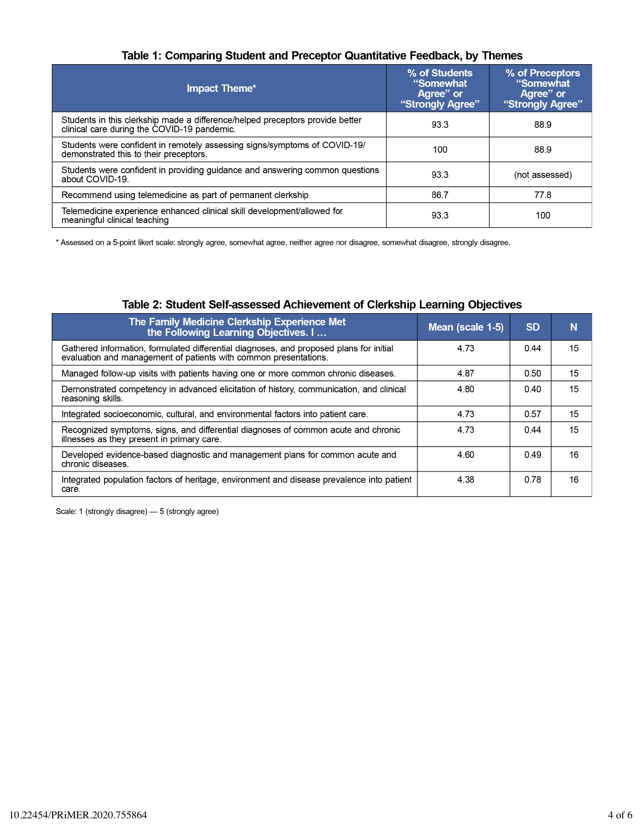#### Table 1: Comparing Student and Preceptor Quantitative Feedback, by Themes

| <b>Impact Theme*</b>                                                                                                         | % of Students<br>"Somewhat<br>Agree" or<br>"Strongly Agree" | % of Preceptors<br>"Somewhat<br>Agree" or<br>"Strongly Agree" |
|------------------------------------------------------------------------------------------------------------------------------|-------------------------------------------------------------|---------------------------------------------------------------|
| Students in this clerkship made a difference/helped preceptors provide better<br>clinical care during the COVID-19 pandemic. | 93.3                                                        | 88.9                                                          |
| Students were confident in remotely assessing signs/symptoms of COVID-19/<br>demonstrated this to their preceptors.          | 100                                                         | 88.9                                                          |
| Students were confident in providing guidance and answering common questions<br>about COVID-19.                              | 93.3                                                        | (not assessed)                                                |
| Recommend using telemedicine as part of permanent clerkship                                                                  | 86.7                                                        | 77.8                                                          |
| Telemedicine experience enhanced clinical skill development/allowed for<br>meaningful clinical teaching                      | 93.3                                                        | 100                                                           |

\* Assessed on a 5-point likert scale: strongly agree, somewhat agree, neither agree nor disagree, somewhat disagree, strongly disagree.

| The Family Medicine Clerkship Experience Met<br>the Following Learning Objectives. I                                                                        | Mean (scale 1-5) | <b>SD</b> | N  |
|-------------------------------------------------------------------------------------------------------------------------------------------------------------|------------------|-----------|----|
| Gathered information, formulated differential diagnoses, and proposed plans for initial<br>evaluation and management of patients with common presentations. | 4.73             | 0.44      | 15 |
| Managed follow-up visits with patients having one or more common chronic diseases.                                                                          | 4.87             | 0.50      | 15 |
| Demonstrated competency in advanced elicitation of history, communication, and clinical<br>reasoning skills.                                                | 4.80             | 0.40      | 15 |
| Integrated socioeconomic, cultural, and environmental factors into patient care.                                                                            | 4.73             | 0.57      | 15 |
| Recognized symptoms, signs, and differential diagnoses of common acute and chronic<br>illnesses as they present in primary care.                            | 4.73             | 0.44      | 15 |
| Developed evidence-based diagnostic and management plans for common acute and<br>chronic diseases.                                                          | 4.60             | 0.49      | 16 |
| Integrated population factors of heritage, environment and disease prevalence into patient<br>care.                                                         | 4.38             | 0.78      | 16 |

#### Table 2: Student Self-assessed Achievement of Clerkship Learning Objectives

Scale: 1 (strongly disagree) - 5 (strongly agree)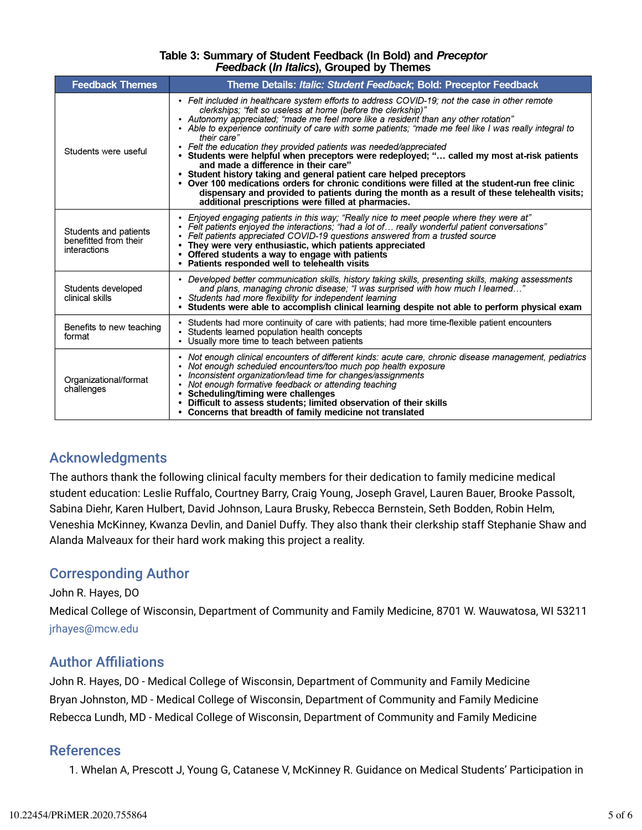#### Table 3: Summary of Student Feedback (In Bold) and Preceptor Feedback (In Italics), Grouped by Themes

| <b>Feedback Themes</b>                                         | Theme Details: Italic: Student Feedback; Bold: Preceptor Feedback                                                                                                                                                                                                                                                                                                                                                                                                                                                                                                                                                                                                                                                                                                                                                                                                                                                            |
|----------------------------------------------------------------|------------------------------------------------------------------------------------------------------------------------------------------------------------------------------------------------------------------------------------------------------------------------------------------------------------------------------------------------------------------------------------------------------------------------------------------------------------------------------------------------------------------------------------------------------------------------------------------------------------------------------------------------------------------------------------------------------------------------------------------------------------------------------------------------------------------------------------------------------------------------------------------------------------------------------|
| Students were useful                                           | • Felt included in healthcare system efforts to address COVID-19; not the case in other remote<br>clerkships; "felt so useless at home (before the clerkship)"<br>• Autonomy appreciated; "made me feel more like a resident than any other rotation"<br>• Able to experience continuity of care with some patients; "made me feel like I was really integral to<br>their care"<br>• Felt the education they provided patients was needed/appreciated<br>• Students were helpful when preceptors were redeployed; " called my most at-risk patients<br>and made a difference in their care"<br>• Student history taking and general patient care helped preceptors<br>• Over 100 medications orders for chronic conditions were filled at the student-run free clinic<br>dispensary and provided to patients during the month as a result of these telehealth visits;<br>additional prescriptions were filled at pharmacies. |
| Students and patients<br>benefitted from their<br>interactions | • Enjoyed engaging patients in this way; "Really nice to meet people where they were at"<br>• Felt patients enjoyed the interactions; "had a lot of  really wonderful patient conversations"<br>• Felt patients appreciated COVID-19 questions answered from a trusted source<br>They were very enthusiastic, which patients appreciated<br>• Offered students a way to engage with patients<br>• Patients responded well to telehealth visits                                                                                                                                                                                                                                                                                                                                                                                                                                                                               |
| Students developed<br>clinical skills                          | • Developed better communication skills, history taking skills, presenting skills, making assessments<br>and plans, managing chronic disease; "I was surprised with how much I learned"<br>• Students had more flexibility for independent learning<br>• Students were able to accomplish clinical learning despite not able to perform physical exam                                                                                                                                                                                                                                                                                                                                                                                                                                                                                                                                                                        |
| Benefits to new teaching<br>format                             | • Students had more continuity of care with patients; had more time-flexible patient encounters<br>• Students learned population health concepts<br>• Usually more time to teach between patients                                                                                                                                                                                                                                                                                                                                                                                                                                                                                                                                                                                                                                                                                                                            |
| Organizational/format<br>challenges                            | • Not enough clinical encounters of different kinds: acute care, chronic disease management, pediatrics<br>Not enough scheduled encounters/too much pop health exposure<br>Inconsistent organization/lead time for changes/assignments<br>• Not enough formative feedback or attending teaching<br>• Scheduling/timing were challenges<br>Difficult to assess students; limited observation of their skills<br>• Concerns that breadth of family medicine not translated                                                                                                                                                                                                                                                                                                                                                                                                                                                     |

### Acknowledgments

The authors thank the following clinical faculty members for their dedication to family medicine medical student education: Leslie Ruffalo, Courtney Barry, Craig Young, Joseph Gravel, Lauren Bauer, Brooke Passolt, Sabina Diehr, Karen Hulbert, David Johnson, Laura Brusky, Rebecca Bernstein, Seth Bodden, Robin Helm, Veneshia McKinney, Kwanza Devlin, and Daniel Duffy. They also thank their clerkship staff Stephanie Shaw and Alanda Malveaux for their hard work making this project a reality.

### Corresponding Author

John R. Hayes, DO Medical College of Wisconsin, Department of Community and Family Medicine, 8701 W. Wauwatosa, WI 53211 jrhayes@mcw.edu

### **Author Affiliations**

John R. Hayes, DO - Medical College of Wisconsin, Department of Community and Family Medicine Bryan Johnston, MD - Medical College of Wisconsin, Department of Community and Family Medicine Rebecca Lundh, MD - Medical College of Wisconsin, Department of Community and Family Medicine

#### References

1. Whelan A, Prescott J, Young G, Catanese V, McKinney R. Guidance on Medical Students' Participation in